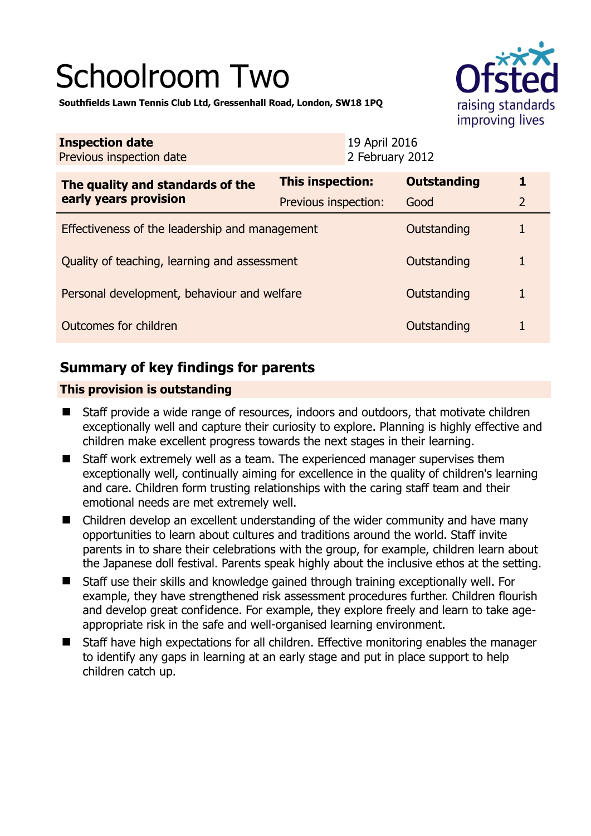# Schoolroom Two



**Southfields Lawn Tennis Club Ltd, Gressenhall Road, London, SW18 1PQ** 

| <b>Inspection date</b><br>Previous inspection date        | 19 April 2016<br>2 February 2012 |                    |                |
|-----------------------------------------------------------|----------------------------------|--------------------|----------------|
| The quality and standards of the<br>early years provision | This inspection:                 | <b>Outstanding</b> | 1              |
|                                                           | Previous inspection:             | Good               | $\overline{2}$ |
| Effectiveness of the leadership and management            |                                  | Outstanding        | 1              |
| Quality of teaching, learning and assessment              |                                  | Outstanding        | 1              |
| Personal development, behaviour and welfare               |                                  | Outstanding        | 1              |
| Outcomes for children                                     |                                  | Outstanding        | 1              |

# **Summary of key findings for parents**

## **This provision is outstanding**

- Staff provide a wide range of resources, indoors and outdoors, that motivate children exceptionally well and capture their curiosity to explore. Planning is highly effective and children make excellent progress towards the next stages in their learning.
- Staff work extremely well as a team. The experienced manager supervises them exceptionally well, continually aiming for excellence in the quality of children's learning and care. Children form trusting relationships with the caring staff team and their emotional needs are met extremely well.
- Children develop an excellent understanding of the wider community and have many opportunities to learn about cultures and traditions around the world. Staff invite parents in to share their celebrations with the group, for example, children learn about the Japanese doll festival. Parents speak highly about the inclusive ethos at the setting.
- Staff use their skills and knowledge gained through training exceptionally well. For example, they have strengthened risk assessment procedures further. Children flourish and develop great confidence. For example, they explore freely and learn to take ageappropriate risk in the safe and well-organised learning environment.
- Staff have high expectations for all children. Effective monitoring enables the manager to identify any gaps in learning at an early stage and put in place support to help children catch up.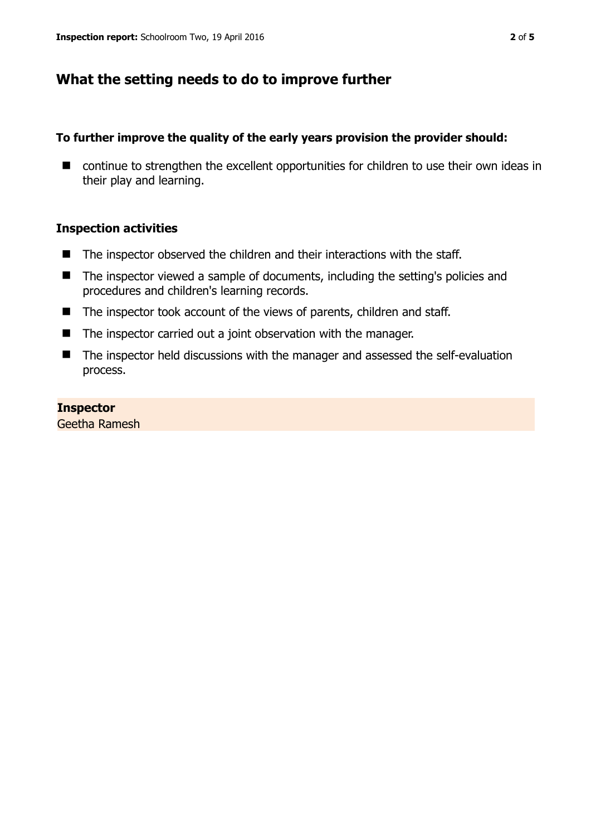# **What the setting needs to do to improve further**

## **To further improve the quality of the early years provision the provider should:**

■ continue to strengthen the excellent opportunities for children to use their own ideas in their play and learning.

## **Inspection activities**

- The inspector observed the children and their interactions with the staff.
- The inspector viewed a sample of documents, including the setting's policies and procedures and children's learning records.
- The inspector took account of the views of parents, children and staff.
- The inspector carried out a joint observation with the manager.
- The inspector held discussions with the manager and assessed the self-evaluation process.

#### **Inspector**

Geetha Ramesh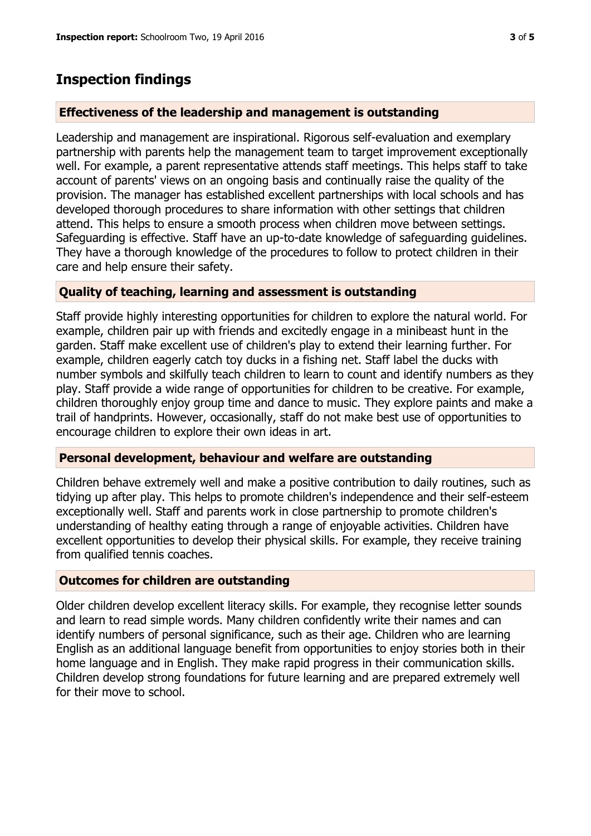# **Inspection findings**

## **Effectiveness of the leadership and management is outstanding**

Leadership and management are inspirational. Rigorous self-evaluation and exemplary partnership with parents help the management team to target improvement exceptionally well. For example, a parent representative attends staff meetings. This helps staff to take account of parents' views on an ongoing basis and continually raise the quality of the provision. The manager has established excellent partnerships with local schools and has developed thorough procedures to share information with other settings that children attend. This helps to ensure a smooth process when children move between settings. Safeguarding is effective. Staff have an up-to-date knowledge of safeguarding guidelines. They have a thorough knowledge of the procedures to follow to protect children in their care and help ensure their safety.

## **Quality of teaching, learning and assessment is outstanding**

Staff provide highly interesting opportunities for children to explore the natural world. For example, children pair up with friends and excitedly engage in a minibeast hunt in the garden. Staff make excellent use of children's play to extend their learning further. For example, children eagerly catch toy ducks in a fishing net. Staff label the ducks with number symbols and skilfully teach children to learn to count and identify numbers as they play. Staff provide a wide range of opportunities for children to be creative. For example, children thoroughly enjoy group time and dance to music. They explore paints and make a trail of handprints. However, occasionally, staff do not make best use of opportunities to encourage children to explore their own ideas in art.

## **Personal development, behaviour and welfare are outstanding**

Children behave extremely well and make a positive contribution to daily routines, such as tidying up after play. This helps to promote children's independence and their self-esteem exceptionally well. Staff and parents work in close partnership to promote children's understanding of healthy eating through a range of enjoyable activities. Children have excellent opportunities to develop their physical skills. For example, they receive training from qualified tennis coaches.

## **Outcomes for children are outstanding**

Older children develop excellent literacy skills. For example, they recognise letter sounds and learn to read simple words. Many children confidently write their names and can identify numbers of personal significance, such as their age. Children who are learning English as an additional language benefit from opportunities to enjoy stories both in their home language and in English. They make rapid progress in their communication skills. Children develop strong foundations for future learning and are prepared extremely well for their move to school.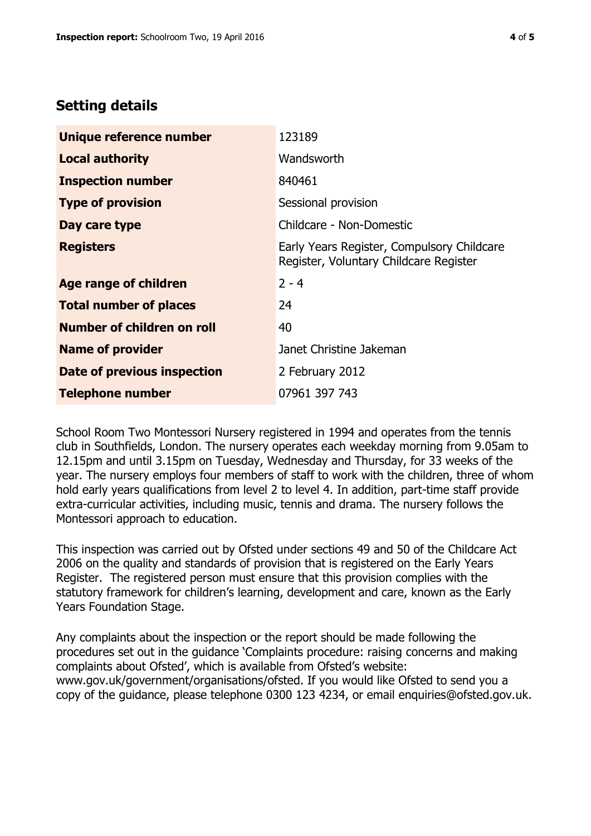## **Setting details**

| Unique reference number       | 123189                                                                               |  |
|-------------------------------|--------------------------------------------------------------------------------------|--|
| <b>Local authority</b>        | Wandsworth                                                                           |  |
| <b>Inspection number</b>      | 840461                                                                               |  |
| <b>Type of provision</b>      | Sessional provision                                                                  |  |
| Day care type                 | Childcare - Non-Domestic                                                             |  |
| <b>Registers</b>              | Early Years Register, Compulsory Childcare<br>Register, Voluntary Childcare Register |  |
| <b>Age range of children</b>  | $2 - 4$                                                                              |  |
| <b>Total number of places</b> | 24                                                                                   |  |
| Number of children on roll    | 40                                                                                   |  |
| <b>Name of provider</b>       | Janet Christine Jakeman                                                              |  |
| Date of previous inspection   | 2 February 2012                                                                      |  |
| <b>Telephone number</b>       | 07961 397 743                                                                        |  |

School Room Two Montessori Nursery registered in 1994 and operates from the tennis club in Southfields, London. The nursery operates each weekday morning from 9.05am to 12.15pm and until 3.15pm on Tuesday, Wednesday and Thursday, for 33 weeks of the year. The nursery employs four members of staff to work with the children, three of whom hold early years qualifications from level 2 to level 4. In addition, part-time staff provide extra-curricular activities, including music, tennis and drama. The nursery follows the Montessori approach to education.

This inspection was carried out by Ofsted under sections 49 and 50 of the Childcare Act 2006 on the quality and standards of provision that is registered on the Early Years Register. The registered person must ensure that this provision complies with the statutory framework for children's learning, development and care, known as the Early Years Foundation Stage.

Any complaints about the inspection or the report should be made following the procedures set out in the guidance 'Complaints procedure: raising concerns and making complaints about Ofsted', which is available from Ofsted's website: www.gov.uk/government/organisations/ofsted. If you would like Ofsted to send you a copy of the guidance, please telephone 0300 123 4234, or email enquiries@ofsted.gov.uk.